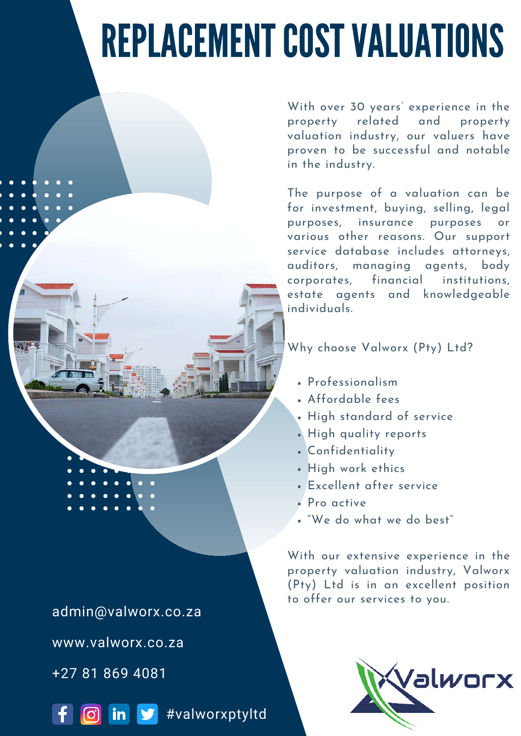# REPLACEMENT COST VALUATIONS

With over 30 years' experience in the property related and property valuation industry, our valuers have proven to be successful and notable in the industry.

The purpose of a valuation can be for investment, buying, selling, legal purposes, insurance purposes or various other reasons. Our support service database includes attorneys, auditors, managing agents, body corporates, financial institutions, estate agents and knowledgeable individuals.

Why choose Valworx (Pty) Ltd?

- Professionalism
- Affordable fees
- High standard of service
- . High quality reports
- Confidentiality
- High work ethics
- Excellent after service
- Pro active
- "We do what we do best"

With our extensive experience in the property valuation industry, Valworx (Pty) Ltd is in an excellent position to offer our services to you.



admin@valworx.co.za www.valworx.co.za

+27 81 869 4081



in **y** #valworxptyltd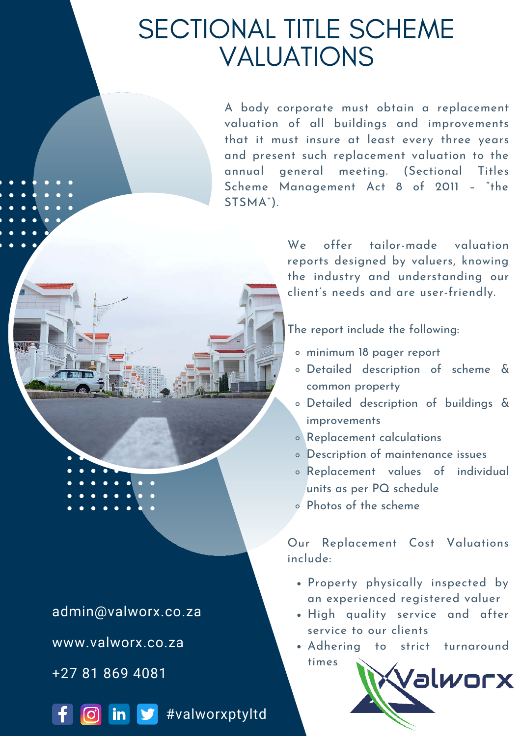# SECTIONAL TITLE SCHEME VALUATIONS

A body corporate must obtain a replacement valuation of all buildings and improvements that it must insure at least every three years and present such replacement valuation to the annual general meeting. (Sectional Titles Scheme Management Act 8 of 2011 – "the STSMA").

> We offer tailor-made valuation reports designed by valuers, knowing the industry and understanding our client's needs and are user-friendly.

The report include the following:

- minimum 18 pager report
- Detailed description of scheme & common property
- Detailed description of buildings & improvements
- Replacement calculations
- Description of maintenance issues
- Replacement values of individual units as per PQ schedule
- Photos of the scheme

Our Replacement Cost Valuations include:

- Property physically inspected by an experienced registered valuer
- High quality service and after service to our clients
- Adhering to strict turnaround times



admin@valworx.co.za www.valworx.co.za

+27 81 869 4081



**6** in  $\bullet$  #valworxptyltd